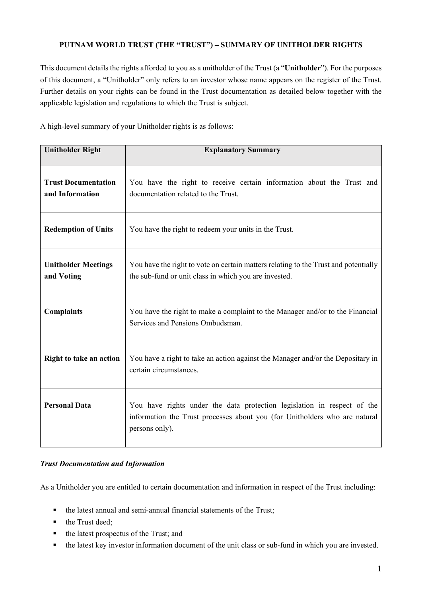## **PUTNAM WORLD TRUST (THE "TRUST") – SUMMARY OF UNITHOLDER RIGHTS**

This document details the rights afforded to you as a unitholder of the Trust (a "**Unitholder**"). For the purposes of this document, a "Unitholder" only refers to an investor whose name appears on the register of the Trust. Further details on your rights can be found in the Trust documentation as detailed below together with the applicable legislation and regulations to which the Trust is subject.

A high-level summary of your Unitholder rights is as follows:

| <b>Unitholder Right</b>                       | <b>Explanatory Summary</b>                                                                                                                                              |
|-----------------------------------------------|-------------------------------------------------------------------------------------------------------------------------------------------------------------------------|
| <b>Trust Documentation</b><br>and Information | You have the right to receive certain information about the Trust and<br>documentation related to the Trust.                                                            |
| <b>Redemption of Units</b>                    | You have the right to redeem your units in the Trust.                                                                                                                   |
| <b>Unitholder Meetings</b><br>and Voting      | You have the right to vote on certain matters relating to the Trust and potentially<br>the sub-fund or unit class in which you are invested.                            |
| <b>Complaints</b>                             | You have the right to make a complaint to the Manager and/or to the Financial<br>Services and Pensions Ombudsman.                                                       |
| Right to take an action                       | You have a right to take an action against the Manager and/or the Depositary in<br>certain circumstances.                                                               |
| <b>Personal Data</b>                          | You have rights under the data protection legislation in respect of the<br>information the Trust processes about you (for Unitholders who are natural<br>persons only). |

### *Trust Documentation and Information*

As a Unitholder you are entitled to certain documentation and information in respect of the Trust including:

- the latest annual and semi-annual financial statements of the Trust;
- the Trust deed;
- $\blacksquare$  the latest prospectus of the Trust; and
- the latest key investor information document of the unit class or sub-fund in which you are invested.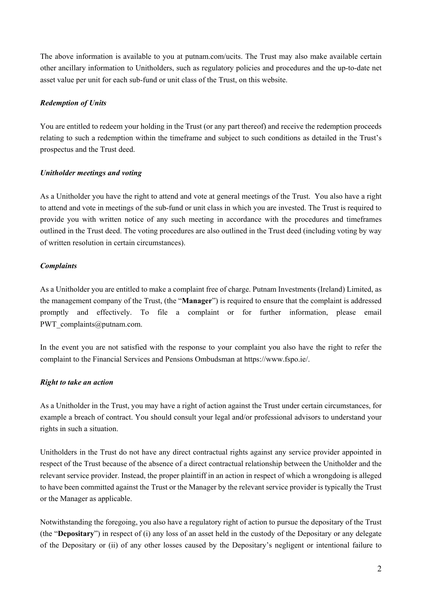The above information is available to you at putnam.com/ucits. The Trust may also make available certain other ancillary information to Unitholders, such as regulatory policies and procedures and the up-to-date net asset value per unit for each sub-fund or unit class of the Trust, on this website.

### *Redemption of Units*

You are entitled to redeem your holding in the Trust (or any part thereof) and receive the redemption proceeds relating to such a redemption within the timeframe and subject to such conditions as detailed in the Trust's prospectus and the Trust deed.

#### *Unitholder meetings and voting*

As a Unitholder you have the right to attend and vote at general meetings of the Trust. You also have a right to attend and vote in meetings of the sub-fund or unit class in which you are invested. The Trust is required to provide you with written notice of any such meeting in accordance with the procedures and timeframes outlined in the Trust deed. The voting procedures are also outlined in the Trust deed (including voting by way of written resolution in certain circumstances).

### *Complaints*

As a Unitholder you are entitled to make a complaint free of charge. Putnam Investments (Ireland) Limited, as the management company of the Trust, (the "**Manager**") is required to ensure that the complaint is addressed promptly and effectively. To file a complaint or for further information, please email PWT\_complaints@putnam.com.

In the event you are not satisfied with the response to your complaint you also have the right to refer the complaint to the Financial Services and Pensions Ombudsman at https://www.fspo.ie/.

### *Right to take an action*

As a Unitholder in the Trust, you may have a right of action against the Trust under certain circumstances, for example a breach of contract. You should consult your legal and/or professional advisors to understand your rights in such a situation.

Unitholders in the Trust do not have any direct contractual rights against any service provider appointed in respect of the Trust because of the absence of a direct contractual relationship between the Unitholder and the relevant service provider. Instead, the proper plaintiff in an action in respect of which a wrongdoing is alleged to have been committed against the Trust or the Manager by the relevant service provider is typically the Trust or the Manager as applicable.

Notwithstanding the foregoing, you also have a regulatory right of action to pursue the depositary of the Trust (the "**Depositary**") in respect of (i) any loss of an asset held in the custody of the Depositary or any delegate of the Depositary or (ii) of any other losses caused by the Depositary's negligent or intentional failure to